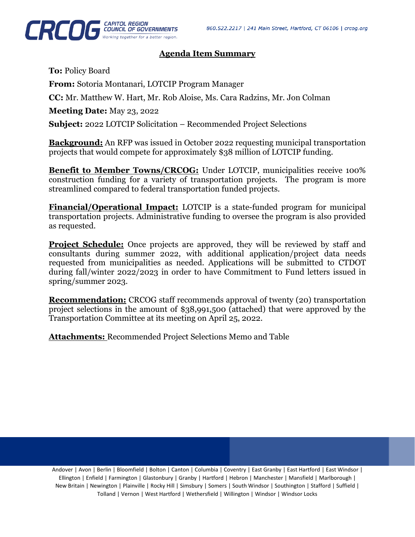

## **Agenda Item Summary**

**To:** Policy Board

**From:** Sotoria Montanari, LOTCIP Program Manager

**CC:** Mr. Matthew W. Hart, Mr. Rob Aloise, Ms. Cara Radzins, Mr. Jon Colman

**Meeting Date:** May 23, 2022

**Subject:** 2022 LOTCIP Solicitation – Recommended Project Selections

**Background:** An RFP was issued in October 2022 requesting municipal transportation projects that would compete for approximately \$38 million of LOTCIP funding.

**Benefit to Member Towns/CRCOG:** Under LOTCIP, municipalities receive 100% construction funding for a variety of transportation projects. The program is more streamlined compared to federal transportation funded projects.

**Financial/Operational Impact:** LOTCIP is a state-funded program for municipal transportation projects. Administrative funding to oversee the program is also provided as requested.

**Project Schedule:** Once projects are approved, they will be reviewed by staff and consultants during summer 2022, with additional application/project data needs requested from municipalities as needed. Applications will be submitted to CTDOT during fall/winter 2022/2023 in order to have Commitment to Fund letters issued in spring/summer 2023.

**Recommendation:** CRCOG staff recommends approval of twenty (20) transportation project selections in the amount of \$38,991,500 (attached) that were approved by the Transportation Committee at its meeting on April 25, 2022.

**Attachments:** Recommended Project Selections Memo and Table

Andover | Avon | Berlin | Bloomfield | Bolton | Canton | Columbia | Coventry | East Granby | East Hartford | East Windsor | Ellington | Enfield | Farmington | Glastonbury | Granby | Hartford | Hebron | Manchester | Mansfield | Marlborough | New Britain | Newington | Plainville | Rocky Hill | Simsbury | Somers | South Windsor | Southington | Stafford | Suffield | Tolland | Vernon | West Hartford | Wethersfield | Willington | Windsor | Windsor Locks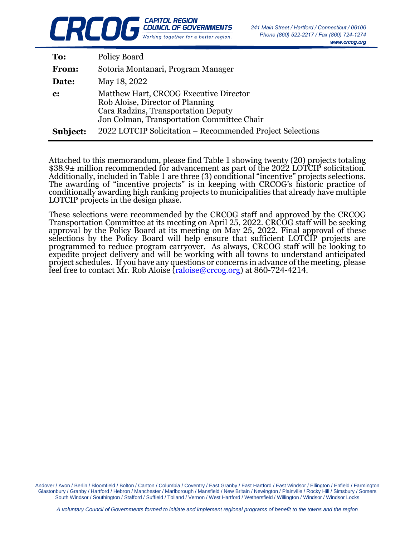

| To:            | Policy Board                                                                                                                                                    |
|----------------|-----------------------------------------------------------------------------------------------------------------------------------------------------------------|
| From:          | Sotoria Montanari, Program Manager                                                                                                                              |
| Date:          | May 18, 2022                                                                                                                                                    |
| $\mathbf{c}$ : | Matthew Hart, CRCOG Executive Director<br>Rob Aloise, Director of Planning<br>Cara Radzins, Transportation Deputy<br>Jon Colman, Transportation Committee Chair |
| Subject:       | 2022 LOTCIP Solicitation – Recommended Project Selections                                                                                                       |

Attached to this memorandum, please find Table 1 showing twenty (20) projects totaling \$38.9± million recommended for advancement as part of the 2022 LOTCIP solicitation. Additionally, included in Table 1 are three (3) conditional "incentive" projects selections. The awarding of "incentive projects" is in keeping with CRCOG's historic practice of conditionally awarding high ranking projects to municipalities that already have multiple LOTCIP projects in the design phase.

These selections were recommended by the CRCOG staff and approved by the CRCOG Transportation Committee at its meeting on April 25, 2022. CRCOG staff will be seeking approval by the Policy Board at its meeting on May 25, 2022. Final approval of these selections by the Policy Board will help ensure that sufficient LOTCIP projects are programmed to reduce program carryover. As always, CRCOG staff will be looking to expedite project delivery and will be working with all towns to understand anticipated project schedules. If you have any questions or concerns in advance of the meeting, please feel free to contact Mr. Rob Aloise  $\overline{(raloise@crcoe, org)}$  at 860-724-4214.

Andover / Avon / Berlin / Bloomfield / Bolton / Canton / Columbia / Coventry / East Granby / East Hartford / East Windsor / Ellington / Enfield / Farmington Glastonbury / Granby / Hartford / Hebron / Manchester / Marlborough / Mansfield / New Britain / Newington / Plainville / Rocky Hill / Simsbury / Somers South Windsor / Southington / Stafford / Suffield / Tolland / Vernon / West Hartford / Wethersfield / Willington / Windsor / Windsor Locks